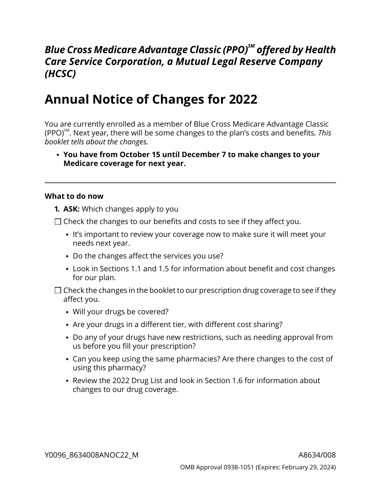## *Blue Cross Medicare Advantage Classic (PPO)SM offered by Health Care Service Corporation, a Mutual Legal Reserve Company (HCSC)*

# **Annual Notice of Changes for 2022**

You are currently enrolled as a member of Blue Cross Medicare Advantage Classic (PPO)SM . Next year, there will be some changes to the plan's costs and benefits*. This booklet tells about the changes.*

**You have from October 15 until December 7 to make changes to your Medicare coverage for next year.**

#### **What to do now**

- **1. ASK:** Which changes apply to you
- $\Box$  Check the changes to our benefits and costs to see if they affect you.
	- It's important to review your coverage now to make sure it will meet your needs next year.
	- Do the changes affect the services you use?
	- Look in Sections [1.1](#page-7-0) and [1.5](#page-9-0) for information about benefit and cost changes for our plan.
- $\Box$  Check the changes in the booklet to our prescription drug coverage to see if they affect you.
	- Will your drugs be covered?
	- Are your drugs in a different tier, with different cost sharing?
	- Do any of your drugs have new restrictions, such as needing approval from us before you fill your prescription?
	- Can you keep using the same pharmacies? Are there changes to the cost of using this pharmacy?
	- Review the 2022 Drug List and look in Section [1.6](#page-13-0) for information about changes to our drug coverage.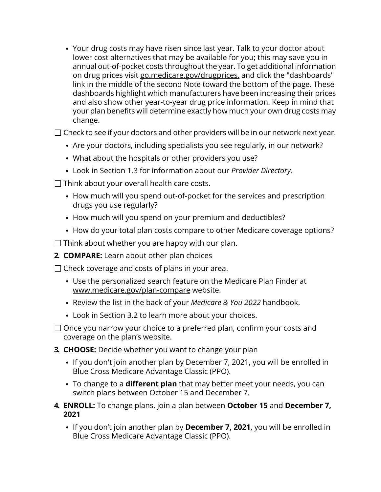Your drug costs may have risen since last year. Talk to your doctor about lower cost alternatives that may be available for you; this may save you in annual out-of-pocket costs throughout the year. To get additional information on drug prices visit [go.medicare.gov/drugprices,](https://go.medicare.gov/drugprices) and click the "dashboards" link in the middle of the second Note toward the bottom of the page. These dashboards highlight which manufacturers have been increasing their prices and also show other year-to-year drug price information. Keep in mind that your plan benefits will determine exactly how much your own drug costs may change.

 $\square$  Check to see if your doctors and other providers will be in our network next year.

- Are your doctors, including specialists you see regularly, in our network?
- What about the hospitals or other providers you use?
- Look in Section [1.3](#page-8-0) for information about our *Provider Directory*.
- $\Box$  Think about your overall health care costs.
	- How much will you spend out-of-pocket for the services and prescription drugs you use regularly?
	- How much will you spend on your premium and deductibles?
	- How do your total plan costs compare to other Medicare coverage options?

 $\Box$  Think about whether you are happy with our plan.

**2. COMPARE:** Learn about other plan choices

 $\Box$  Check coverage and costs of plans in your area.

- Use the personalized search feature on the Medicare Plan Finder at [www.medicare.gov/plan-compare](http://www.medicare.gov/plan-compare) website.
- Review the list in the back of your *Medicare & You 2022* handbook.
- Look in Section [3.2](#page-18-0) to learn more about your choices.
- $\Box$  Once you narrow your choice to a preferred plan, confirm your costs and coverage on the plan's website.
- **3. CHOOSE:** Decide whether you want to change your plan
	- If you don't join another plan by December 7, 2021, you will be enrolled in Blue Cross Medicare Advantage Classic (PPO).
	- To change to a **different plan** that may better meet your needs, you can switch plans between October 15 and December 7.
- **4. ENROLL:** To change plans, join a plan between **October 15** and **December 7, 2021**
	- If you don't join another plan by **December 7, 2021**, you will be enrolled in Blue Cross Medicare Advantage Classic (PPO).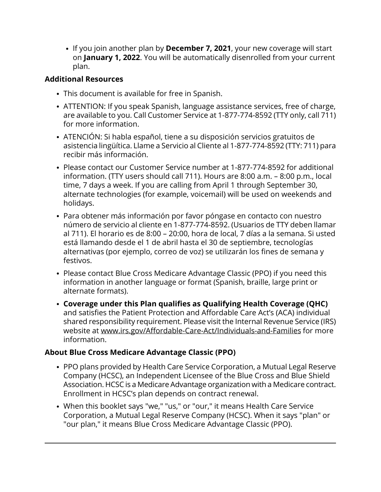If you join another plan by **December 7, 2021**, your new coverage will start on **January 1, 2022**. You will be automatically disenrolled from your current plan.

### **Additional Resources**

- This document is available for free in Spanish.
- ATTENTION: If you speak Spanish, language assistance services, free of charge, are available to you. Call Customer Service at 1-877-774-8592 (TTY only, call 711) for more information.
- ATENCIÓN: Si habla español, tiene a su disposición servicios gratuitos de asistencia lingüítica. Llame a Servicio al Cliente al 1-877-774-8592 (TTY: 711) para recibir más información.
- Please contact our Customer Service number at 1-877-774-8592 for additional information. (TTY users should call 711). Hours are 8:00 a.m. – 8:00 p.m., local time, 7 days a week. If you are calling from April 1 through September 30, alternate technologies (for example, voicemail) will be used on weekends and holidays.
- Para obtener más información por favor póngase en contacto con nuestro número de servicio al cliente en 1-877-774-8592. (Usuarios de TTY deben llamar al 711). El horario es de 8:00 – 20:00, hora de local, 7 días a la semana. Si usted está llamando desde el 1 de abril hasta el 30 de septiembre, tecnologías alternativas (por ejemplo, correo de voz) se utilizarán los fines de semana y festivos.
- Please contact Blue Cross Medicare Advantage Classic (PPO) if you need this information in another language or format (Spanish, braille, large print or alternate formats).
- **Coverage under this Plan qualifies as Qualifying Health Coverage (QHC)** and satisfies the Patient Protection and Affordable Care Act's (ACA) individual shared responsibility requirement. Please visit the Internal Revenue Service (IRS) website at [www.irs.gov/Affordable-Care-Act/Individuals-and-Families](http://www.irs.gov/Affordable-Care-Act/Individuals-and-Families) for more information.

### **About Blue Cross Medicare Advantage Classic (PPO)**

- PPO plans provided by Health Care Service Corporation, a Mutual Legal Reserve Company (HCSC), an Independent Licensee of the Blue Cross and Blue Shield Association. HCSC is a Medicare Advantage organization with a Medicare contract. Enrollment in HCSC's plan depends on contract renewal.
- When this booklet says "we," "us," or "our," it means Health Care Service Corporation, a Mutual Legal Reserve Company (HCSC). When it says "plan" or "our plan," it means Blue Cross Medicare Advantage Classic (PPO).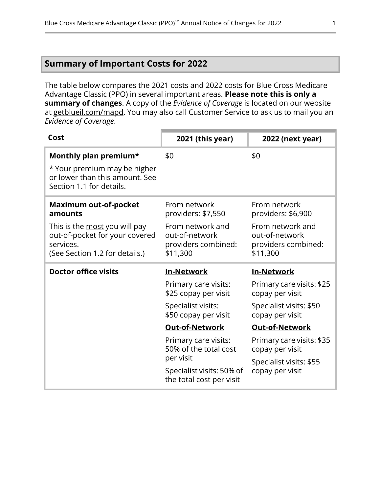### <span id="page-3-0"></span>**Summary of Important Costs for 2022**

The table below compares the 2021 costs and 2022 costs for Blue Cross Medicare Advantage Classic (PPO) in several important areas. **Please note this is only a summary of changes**. A copy of the *Evidence of Coverage* is located on our website at [getblueil.com/mapd](https://www.bcbsil.com/medicare/blue-cross-medicare-options/mapd). You may also call Customer Service to ask us to mail you an *Evidence of Coverage*.

| Cost                                                                                                                                                      | 2021 (this year)                                                                                            | 2022 (next year)                                                                                            |
|-----------------------------------------------------------------------------------------------------------------------------------------------------------|-------------------------------------------------------------------------------------------------------------|-------------------------------------------------------------------------------------------------------------|
| Monthly plan premium*<br>* Your premium may be higher<br>or lower than this amount. See<br>Section 1.1 for details.                                       | \$0                                                                                                         | \$0                                                                                                         |
| <b>Maximum out-of-pocket</b><br>amounts<br>This is the most you will pay<br>out-of-pocket for your covered<br>services.<br>(See Section 1.2 for details.) | From network<br>providers: \$7,550<br>From network and<br>out-of-network<br>providers combined:<br>\$11,300 | From network<br>providers: \$6,900<br>From network and<br>out-of-network<br>providers combined:<br>\$11,300 |
|                                                                                                                                                           |                                                                                                             |                                                                                                             |
| <b>Doctor office visits</b>                                                                                                                               | <b>In-Network</b>                                                                                           | <b>In-Network</b>                                                                                           |
|                                                                                                                                                           | Primary care visits:<br>\$25 copay per visit                                                                | Primary care visits: \$25<br>copay per visit                                                                |
|                                                                                                                                                           | Specialist visits:<br>\$50 copay per visit                                                                  | Specialist visits: \$50<br>copay per visit                                                                  |
|                                                                                                                                                           | <b>Out-of-Network</b>                                                                                       | <b>Out-of-Network</b>                                                                                       |
|                                                                                                                                                           | Primary care visits:<br>50% of the total cost                                                               | Primary care visits: \$35<br>copay per visit                                                                |
|                                                                                                                                                           | per visit<br>Specialist visits: 50% of<br>the total cost per visit                                          | Specialist visits: \$55<br>copay per visit                                                                  |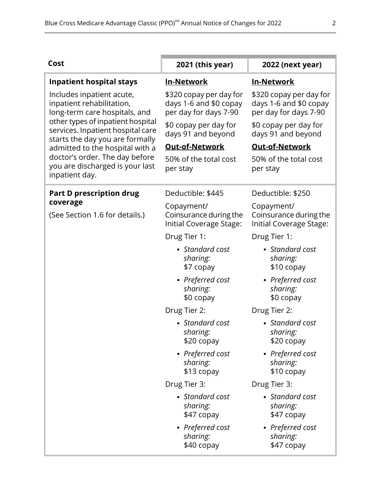| Cost                                                                                                      | 2021 (this year)                                                           | 2022 (next year)                                                           |
|-----------------------------------------------------------------------------------------------------------|----------------------------------------------------------------------------|----------------------------------------------------------------------------|
| <b>Inpatient hospital stays</b>                                                                           | <b>In-Network</b>                                                          | <b>In-Network</b>                                                          |
| Includes inpatient acute,<br>inpatient rehabilitation,<br>long-term care hospitals, and                   | \$320 copay per day for<br>days 1-6 and \$0 copay<br>per day for days 7-90 | \$320 copay per day for<br>days 1-6 and \$0 copay<br>per day for days 7-90 |
| other types of inpatient hospital<br>services. Inpatient hospital care<br>starts the day you are formally | \$0 copay per day for<br>days 91 and beyond                                | \$0 copay per day for<br>days 91 and beyond                                |
| admitted to the hospital with a                                                                           | <b>Out-of-Network</b>                                                      | <b>Out-of-Network</b>                                                      |
| doctor's order. The day before<br>you are discharged is your last<br>inpatient day.                       | 50% of the total cost<br>per stay                                          | 50% of the total cost<br>per stay                                          |
| <b>Part D prescription drug</b>                                                                           | Deductible: \$445                                                          | Deductible: \$250                                                          |
| coverage<br>(See Section 1.6 for details.)                                                                | Copayment/<br>Coinsurance during the<br>Initial Coverage Stage:            | Copayment/<br>Coinsurance during the<br>Initial Coverage Stage:            |
|                                                                                                           | Drug Tier 1:                                                               | Drug Tier 1:                                                               |
|                                                                                                           | • Standard cost<br>sharing:<br>\$7 copay                                   | • Standard cost<br>sharing:<br>\$10 copay                                  |
|                                                                                                           | • Preferred cost<br>sharing:<br>\$0 copay                                  | • Preferred cost<br>sharing:<br>\$0 copay                                  |
|                                                                                                           | Drug Tier 2:                                                               | Drug Tier 2:                                                               |
|                                                                                                           | • Standard cost<br>sharing:<br>\$20 copay                                  | • Standard cost<br>sharing:<br>\$20 copay                                  |
|                                                                                                           | • Preferred cost<br>sharing:<br>\$13 copay                                 | • Preferred cost<br>sharing:<br>\$10 copay                                 |
|                                                                                                           | Drug Tier 3:                                                               | Drug Tier 3:                                                               |
|                                                                                                           | • Standard cost<br>sharing:<br>\$47 copay                                  | • Standard cost<br>sharing:<br>\$47 copay                                  |
|                                                                                                           | • Preferred cost<br>sharing:<br>\$40 copay                                 | • Preferred cost<br>sharing:<br>\$47 copay                                 |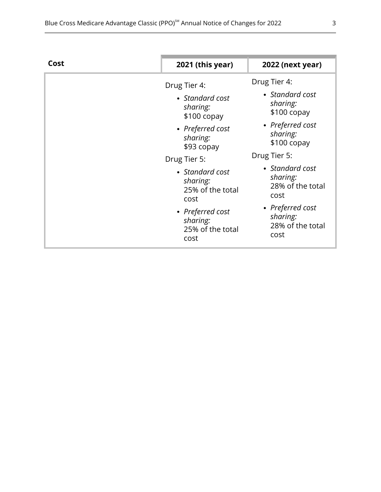| Cost | 2021 (this year)                                                                                                                    | 2022 (next year)                                                                                                                    |
|------|-------------------------------------------------------------------------------------------------------------------------------------|-------------------------------------------------------------------------------------------------------------------------------------|
|      | Drug Tier 4:<br>• Standard cost<br>sharing:<br>$$100$ copay<br>• Preferred cost<br>sharing:<br>\$93 copay                           | Drug Tier 4:<br>• Standard cost<br>sharing:<br>$$100$ copay<br>• Preferred cost<br>sharing:<br>$$100$ copay                         |
|      | Drug Tier 5:<br>• Standard cost<br>sharing:<br>25% of the total<br>cost<br>• Preferred cost<br>sharing:<br>25% of the total<br>cost | Drug Tier 5:<br>• Standard cost<br>sharing:<br>28% of the total<br>cost<br>• Preferred cost<br>sharing:<br>28% of the total<br>cost |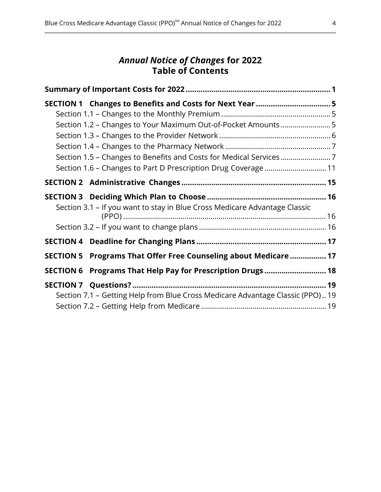### *Annual Notice of Changes* **for 2022 Table of Contents**

| SECTION 1 Changes to Benefits and Costs for Next Year  5                      |  |
|-------------------------------------------------------------------------------|--|
|                                                                               |  |
| Section 1.2 - Changes to Your Maximum Out-of-Pocket Amounts5                  |  |
|                                                                               |  |
|                                                                               |  |
|                                                                               |  |
| Section 1.6 - Changes to Part D Prescription Drug Coverage  11                |  |
|                                                                               |  |
|                                                                               |  |
| Section 3.1 - If you want to stay in Blue Cross Medicare Advantage Classic    |  |
|                                                                               |  |
|                                                                               |  |
| SECTION 5 Programs That Offer Free Counseling about Medicare  17              |  |
| SECTION 6 Programs That Help Pay for Prescription Drugs  18                   |  |
| Section 7.1 - Getting Help from Blue Cross Medicare Advantage Classic (PPO)19 |  |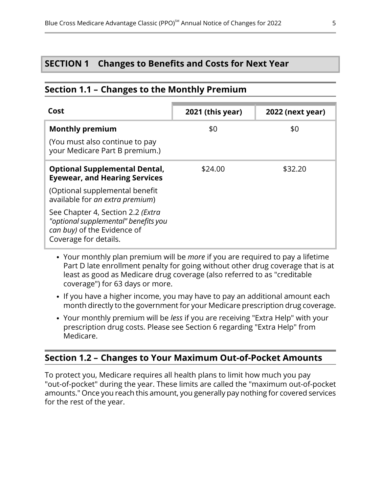### <span id="page-7-2"></span>**SECTION 1 Changes to Benefits and Costs for Next Year**

#### <span id="page-7-0"></span>**Section 1.1 – Changes to the Monthly Premium**

| Cost                                                                                                                              | 2021 (this year) | <b>2022 (next year)</b> |
|-----------------------------------------------------------------------------------------------------------------------------------|------------------|-------------------------|
| <b>Monthly premium</b>                                                                                                            | \$0              | \$0                     |
| (You must also continue to pay<br>your Medicare Part B premium.)                                                                  |                  |                         |
| <b>Optional Supplemental Dental,</b><br><b>Eyewear, and Hearing Services</b>                                                      | \$24.00          | \$32.20                 |
| (Optional supplemental benefit<br>available for an extra premium)                                                                 |                  |                         |
| See Chapter 4, Section 2.2 (Extra<br>"optional supplemental" benefits you<br>can buy) of the Evidence of<br>Coverage for details. |                  |                         |

- Your monthly plan premium will be *more* if you are required to pay a lifetime Part D late enrollment penalty for going without other drug coverage that is at least as good as Medicare drug coverage (also referred to as "creditable coverage") for 63 days or more.
- If you have a higher income, you may have to pay an additional amount each month directly to the government for your Medicare prescription drug coverage.
- <span id="page-7-1"></span>Your monthly premium will be *less* if you are receiving "Extra Help" with your prescription drug costs. Please see Section [6](#page-20-0) regarding "Extra Help" from Medicare.

### **Section 1.2 – Changes to Your Maximum Out-of-Pocket Amounts**

l

To protect you, Medicare requires all health plans to limit how much you pay "out-of-pocket" during the year. These limits are called the "maximum out-of-pocket amounts." Once you reach this amount, you generally pay nothing for covered services for the rest of the year.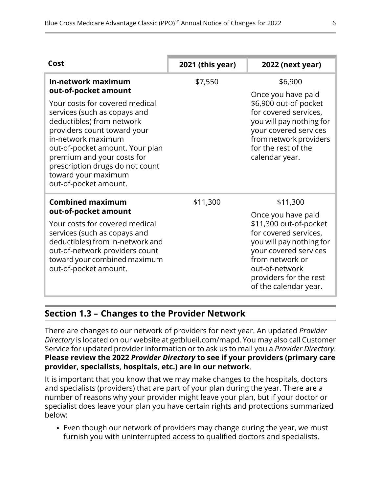| Cost                                                                                                                                                                                                                                                                                                 | 2021 (this year) | 2022 (next year)                                                                                                                                                                                                   |
|------------------------------------------------------------------------------------------------------------------------------------------------------------------------------------------------------------------------------------------------------------------------------------------------------|------------------|--------------------------------------------------------------------------------------------------------------------------------------------------------------------------------------------------------------------|
| In-network maximum<br>out-of-pocket amount                                                                                                                                                                                                                                                           | \$7,550          | \$6,900<br>Once you have paid                                                                                                                                                                                      |
| Your costs for covered medical<br>services (such as copays and<br>deductibles) from network<br>providers count toward your<br>in-network maximum<br>out-of-pocket amount. Your plan<br>premium and your costs for<br>prescription drugs do not count<br>toward your maximum<br>out-of-pocket amount. |                  | \$6,900 out-of-pocket<br>for covered services,<br>you will pay nothing for<br>your covered services<br>from network providers<br>for the rest of the<br>calendar year.                                             |
| <b>Combined maximum</b><br>out-of-pocket amount                                                                                                                                                                                                                                                      | \$11,300         | \$11,300                                                                                                                                                                                                           |
| Your costs for covered medical<br>services (such as copays and<br>deductibles) from in-network and<br>out-of-network providers count<br>toward your combined maximum<br>out-of-pocket amount.                                                                                                        |                  | Once you have paid<br>\$11,300 out-of-pocket<br>for covered services,<br>you will pay nothing for<br>your covered services<br>from network or<br>out-of-network<br>providers for the rest<br>of the calendar year. |

### **Section 1.3 – Changes to the Provider Network**

<span id="page-8-0"></span>l

There are changes to our network of providers for next year. An updated *Provider Directory* is located on our website at [getblueil.com/mapd.](https://www.bcbsil.com/medicare/blue-cross-medicare-options/mapd) You may also call Customer Service for updated provider information or to ask us to mail you a *Provider Directory*. **Please review the 2022** *Provider Directory* **to see if your providers (primary care provider, specialists, hospitals, etc.) are in our network**.

It is important that you know that we may make changes to the hospitals, doctors and specialists (providers) that are part of your plan during the year. There are a number of reasons why your provider might leave your plan, but if your doctor or specialist does leave your plan you have certain rights and protections summarized below:

Even though our network of providers may change during the year, we must furnish you with uninterrupted access to qualified doctors and specialists.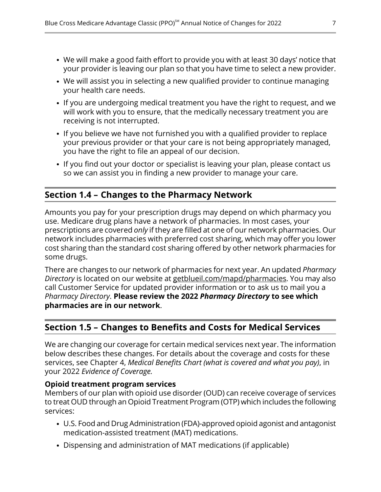- We will make a good faith effort to provide you with at least 30 days' notice that your provider is leaving our plan so that you have time to select a new provider.
- We will assist you in selecting a new qualified provider to continue managing your health care needs.
- If you are undergoing medical treatment you have the right to request, and we will work with you to ensure, that the medically necessary treatment you are receiving is not interrupted.
- If you believe we have not furnished you with a qualified provider to replace your previous provider or that your care is not being appropriately managed, you have the right to file an appeal of our decision.
- <span id="page-9-1"></span>• If you find out your doctor or specialist is leaving your plan, please contact us so we can assist you in finding a new provider to manage your care.

### **Section 1.4 – Changes to the Pharmacy Network**

l

<span id="page-9-0"></span>l

Amounts you pay for your prescription drugs may depend on which pharmacy you use. Medicare drug plans have a network of pharmacies. In most cases, your prescriptions are covered *only* if they are filled at one of our network pharmacies. Our network includes pharmacies with preferred cost sharing, which may offer you lower cost sharing than the standard cost sharing offered by other network pharmacies for some drugs.

There are changes to our network of pharmacies for next year. An updated *Pharmacy Directory* is located on our website at [getblueil.com/mapd/pharmacies](https://www.bcbsil.com/medicare/blue-cross-medicare-options/mapd/using-your-plan/pharmacies). You may also call Customer Service for updated provider information or to ask us to mail you a *Pharmacy Directory*. **Please review the 2022** *Pharmacy Directory* **to see which pharmacies are in our network**.

### **Section 1.5 – Changes to Benefits and Costs for Medical Services**

We are changing our coverage for certain medical services next year. The information below describes these changes. For details about the coverage and costs for these services, see Chapter 4, *Medical Benefits Chart (what is covered and what you pay)*, in your 2022 *Evidence of Coverage.*

#### **Opioid treatment program services**

Members of our plan with opioid use disorder (OUD) can receive coverage of services to treat OUD through an Opioid Treatment Program (OTP) which includes the following services:

- U.S. Food and Drug Administration (FDA)-approved opioid agonist and antagonist medication-assisted treatment (MAT) medications.
- Dispensing and administration of MAT medications (if applicable)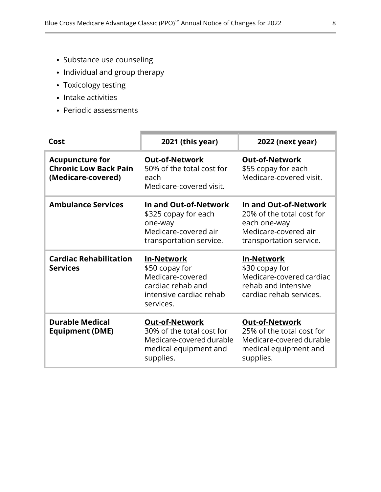- Substance use counseling
- Individual and group therapy
- Toxicology testing
- Intake activities
- Periodic assessments

| Cost                                                                         | 2021 (this year)                                                                                                     | <b>2022 (next year)</b>                                                                                               |
|------------------------------------------------------------------------------|----------------------------------------------------------------------------------------------------------------------|-----------------------------------------------------------------------------------------------------------------------|
| <b>Acupuncture for</b><br><b>Chronic Low Back Pain</b><br>(Medicare-covered) | <b>Out-of-Network</b><br>50% of the total cost for<br>each<br>Medicare-covered visit.                                | <b>Out-of-Network</b><br>\$55 copay for each<br>Medicare-covered visit.                                               |
| <b>Ambulance Services</b>                                                    | In and Out-of-Network<br>\$325 copay for each<br>one-way<br>Medicare-covered air<br>transportation service.          | In and Out-of-Network<br>20% of the total cost for<br>each one-way<br>Medicare-covered air<br>transportation service. |
|                                                                              |                                                                                                                      |                                                                                                                       |
| <b>Cardiac Rehabilitation</b><br><b>Services</b>                             | <b>In-Network</b><br>\$50 copay for<br>Medicare-covered<br>cardiac rehab and<br>intensive cardiac rehab<br>services. | <b>In-Network</b><br>\$30 copay for<br>Medicare-covered cardiac<br>rehab and intensive<br>cardiac rehab services.     |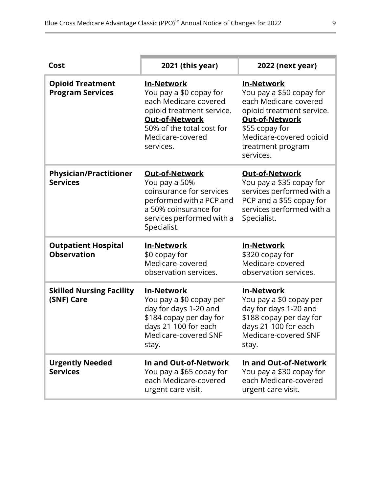| Cost                                               | 2021 (this year)                                                                                                                                                                   | 2022 (next year)                                                                                                                                                                                     |
|----------------------------------------------------|------------------------------------------------------------------------------------------------------------------------------------------------------------------------------------|------------------------------------------------------------------------------------------------------------------------------------------------------------------------------------------------------|
| <b>Opioid Treatment</b><br><b>Program Services</b> | <b>In-Network</b><br>You pay a \$0 copay for<br>each Medicare-covered<br>opioid treatment service.<br>Out-of-Network<br>50% of the total cost for<br>Medicare-covered<br>services. | <b>In-Network</b><br>You pay a \$50 copay for<br>each Medicare-covered<br>opioid treatment service.<br>Out-of-Network<br>\$55 copay for<br>Medicare-covered opioid<br>treatment program<br>services. |
| <b>Physician/Practitioner</b><br><b>Services</b>   | <b>Out-of-Network</b><br>You pay a 50%<br>coinsurance for services<br>performed with a PCP and<br>a 50% coinsurance for<br>services performed with a<br>Specialist.                | <b>Out-of-Network</b><br>You pay a \$35 copay for<br>services performed with a<br>PCP and a \$55 copay for<br>services performed with a<br>Specialist.                                               |
| <b>Outpatient Hospital</b><br><b>Observation</b>   | <b>In-Network</b><br>\$0 copay for<br>Medicare-covered<br>observation services.                                                                                                    | <b>In-Network</b><br>\$320 copay for<br>Medicare-covered<br>observation services.                                                                                                                    |
| <b>Skilled Nursing Facility</b><br>(SNF) Care      | <b>In-Network</b><br>You pay a \$0 copay per<br>day for days 1-20 and<br>\$184 copay per day for<br>days 21-100 for each<br>Medicare-covered SNF<br>stay.                          | <b>In-Network</b><br>You pay a \$0 copay per<br>day for days 1-20 and<br>\$188 copay per day for<br>days 21-100 for each<br>Medicare-covered SNF<br>stay.                                            |
| <b>Urgently Needed</b><br><b>Services</b>          | In and Out-of-Network<br>You pay a \$65 copay for<br>each Medicare-covered<br>urgent care visit.                                                                                   | In and Out-of-Network<br>You pay a \$30 copay for<br>each Medicare-covered<br>urgent care visit.                                                                                                     |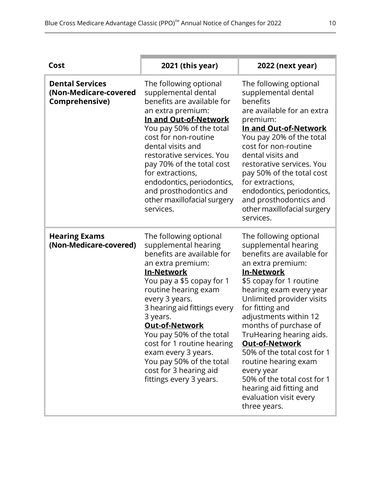| Cost                                                              | 2021 (this year)                                                                                                                                                                                                                                                                                                                                                                                                              | 2022 (next year)                                                                                                                                                                                                                                                                                                                                                                                                                                                                                             |
|-------------------------------------------------------------------|-------------------------------------------------------------------------------------------------------------------------------------------------------------------------------------------------------------------------------------------------------------------------------------------------------------------------------------------------------------------------------------------------------------------------------|--------------------------------------------------------------------------------------------------------------------------------------------------------------------------------------------------------------------------------------------------------------------------------------------------------------------------------------------------------------------------------------------------------------------------------------------------------------------------------------------------------------|
| <b>Dental Services</b><br>(Non-Medicare-covered<br>Comprehensive) | The following optional<br>supplemental dental<br>benefits are available for<br>an extra premium:<br>In and Out-of-Network<br>You pay 50% of the total<br>cost for non-routine<br>dental visits and<br>restorative services. You<br>pay 70% of the total cost<br>for extractions,<br>endodontics, periodontics,<br>and prosthodontics and<br>other maxillofacial surgery<br>services.                                          | The following optional<br>supplemental dental<br>benefits<br>are available for an extra<br>premium:<br>In and Out-of-Network<br>You pay 20% of the total<br>cost for non-routine<br>dental visits and<br>restorative services. You<br>pay 50% of the total cost<br>for extractions,<br>endodontics, periodontics,<br>and prosthodontics and<br>other maxillofacial surgery<br>services.                                                                                                                      |
| <b>Hearing Exams</b><br>(Non-Medicare-covered)                    | The following optional<br>supplemental hearing<br>benefits are available for<br>an extra premium:<br><u>In-Network</u><br>You pay a \$5 copay for 1<br>routine hearing exam<br>every 3 years.<br>3 hearing aid fittings every<br>3 years.<br>Out-of-Network<br>You pay 50% of the total<br>cost for 1 routine hearing<br>exam every 3 years.<br>You pay 50% of the total<br>cost for 3 hearing aid<br>fittings every 3 years. | The following optional<br>supplemental hearing<br>benefits are available for<br>an extra premium:<br><u>In-Network</u><br>\$5 copay for 1 routine<br>hearing exam every year<br>Unlimited provider visits<br>for fitting and<br>adjustments within 12<br>months of purchase of<br>TruHearing hearing aids.<br><b>Out-of-Network</b><br>50% of the total cost for 1<br>routine hearing exam<br>every year<br>50% of the total cost for 1<br>hearing aid fitting and<br>evaluation visit every<br>three years. |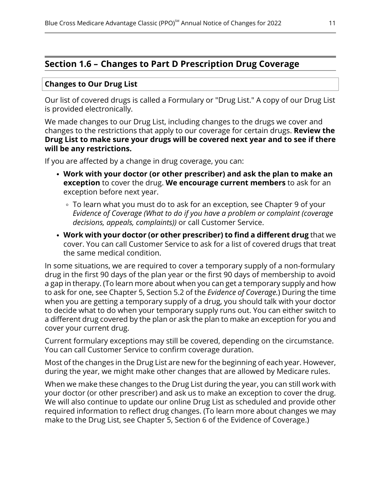### <span id="page-13-0"></span>**Section 1.6 – Changes to Part D Prescription Drug Coverage**

#### **Changes to Our Drug List**

Our list of covered drugs is called a Formulary or "Drug List." A copy of our Drug List is provided electronically.

We made changes to our Drug List, including changes to the drugs we cover and changes to the restrictions that apply to our coverage for certain drugs. **Review the Drug List to make sure your drugs will be covered next year and to see if there will be any restrictions.**

If you are affected by a change in drug coverage, you can:

- **Work with your doctor (or other prescriber) and ask the plan to make an exception** to cover the drug. **We encourage current members** to ask for an exception before next year.
	- To learn what you must do to ask for an exception, see Chapter 9 of your *Evidence of Coverage (What to do if you have a problem or complaint (coverage decisions, appeals, complaints))* or call Customer Service.
- **Work with your doctor (or other prescriber) to find a different drug** that we cover. You can call Customer Service to ask for a list of covered drugs that treat the same medical condition.

In some situations, we are required to cover a temporary supply of a non-formulary drug in the first 90 days of the plan year or the first 90 days of membership to avoid a gap in therapy. (To learn more about when you can get a temporary supply and how to ask for one, see Chapter 5, Section 5.2 of the *Evidence of Coverage.*) During the time when you are getting a temporary supply of a drug, you should talk with your doctor to decide what to do when your temporary supply runs out. You can either switch to a different drug covered by the plan or ask the plan to make an exception for you and cover your current drug.

Current formulary exceptions may still be covered, depending on the circumstance. You can call Customer Service to confirm coverage duration.

Most of the changes in the Drug List are new for the beginning of each year. However, during the year, we might make other changes that are allowed by Medicare rules.

When we make these changes to the Drug List during the year, you can still work with your doctor (or other prescriber) and ask us to make an exception to cover the drug. We will also continue to update our online Drug List as scheduled and provide other required information to reflect drug changes. (To learn more about changes we may make to the Drug List, see Chapter 5, Section 6 of the Evidence of Coverage.)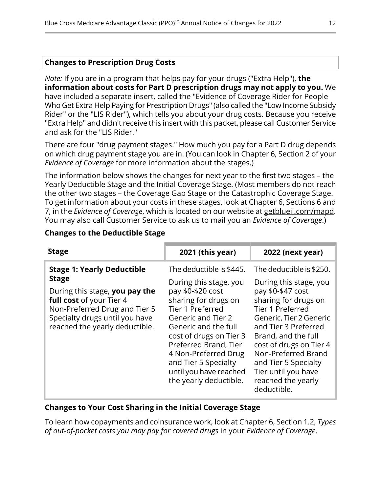#### **Changes to Prescription Drug Costs**

*Note:* If you are in a program that helps pay for your drugs ("Extra Help"), **the information about costs for Part D prescription drugs may not apply to you.** We have included a separate insert, called the "Evidence of Coverage Rider for People Who Get Extra Help Paying for Prescription Drugs" (also called the "Low Income Subsidy Rider" or the "LIS Rider"), which tells you about your drug costs. Because you receive "Extra Help" and didn't receive this insert with this packet, please call Customer Service and ask for the "LIS Rider."

There are four "drug payment stages." How much you pay for a Part D drug depends on which drug payment stage you are in. (You can look in Chapter 6, Section 2 of your *Evidence of Coverage* for more information about the stages.)

The information below shows the changes for next year to the first two stages – the Yearly Deductible Stage and the Initial Coverage Stage. (Most members do not reach the other two stages – the Coverage Gap Stage or the Catastrophic Coverage Stage. To get information about your costs in these stages, look at Chapter 6, Sections 6 and 7, in the *Evidence of Coverage*, which is located on our website at [getblueil.com/mapd.](https://www.bcbsil.com/medicare/blue-cross-medicare-options/mapd) You may also call Customer Service to ask us to mail you an *Evidence of Coverage*.)

#### **Changes to the Deductible Stage**

| The deductible is \$445.<br>The deductible is \$250.<br><b>Stage 1: Yearly Deductible</b><br><b>Stage</b><br>During this stage, you<br>During this stage, you<br>pay \$0-\$47 cost<br>During this stage, you pay the<br>pay \$0-\$20 cost<br>sharing for drugs on<br>sharing for drugs on<br>full cost of your Tier 4                                                                                                                                                                         | <b>Stage</b>                  | 2021 (this year) | 2022 (next year) |
|-----------------------------------------------------------------------------------------------------------------------------------------------------------------------------------------------------------------------------------------------------------------------------------------------------------------------------------------------------------------------------------------------------------------------------------------------------------------------------------------------|-------------------------------|------------------|------------------|
| Specialty drugs until you have<br><b>Generic and Tier 2</b><br>Generic, Tier 2 Generic<br>reached the yearly deductible.<br>and Tier 3 Preferred<br>Generic and the full<br>cost of drugs on Tier 3<br>Brand, and the full<br>Preferred Brand, Tier<br>cost of drugs on Tier 4<br>Non-Preferred Brand<br>4 Non-Preferred Drug<br>and Tier 5 Specialty<br>and Tier 5 Specialty<br>until you have reached<br>Tier until you have<br>the yearly deductible.<br>reached the yearly<br>deductible. | Non-Preferred Drug and Tier 5 | Tier 1 Preferred | Tier 1 Preferred |

#### **Changes to Your Cost Sharing in the Initial Coverage Stage**

To learn how copayments and coinsurance work, look at Chapter 6, Section 1.2, *Types of out-of-pocket costs you may pay for covered drugs* in your *Evidence of Coverage*.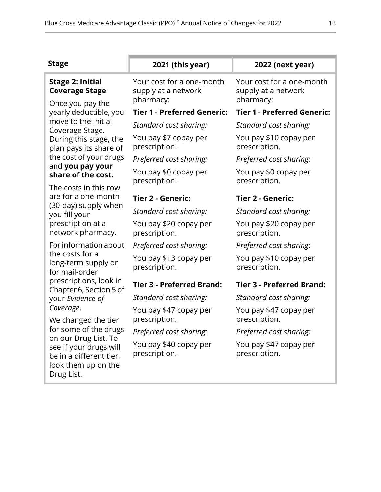| <b>Stage</b>                                                                                                   | 2021 (this year)                                              | 2022 (next year)                                              |
|----------------------------------------------------------------------------------------------------------------|---------------------------------------------------------------|---------------------------------------------------------------|
| <b>Stage 2: Initial</b><br><b>Coverage Stage</b><br>Once you pay the                                           | Your cost for a one-month<br>supply at a network<br>pharmacy: | Your cost for a one-month<br>supply at a network<br>pharmacy: |
| yearly deductible, you                                                                                         | <b>Tier 1 - Preferred Generic:</b>                            | <b>Tier 1 - Preferred Generic:</b>                            |
| move to the Initial<br>Coverage Stage.                                                                         | Standard cost sharing:                                        | Standard cost sharing:                                        |
| During this stage, the<br>plan pays its share of                                                               | You pay \$7 copay per<br>prescription.                        | You pay \$10 copay per<br>prescription.                       |
| the cost of your drugs                                                                                         | Preferred cost sharing:                                       | Preferred cost sharing:                                       |
| and you pay your<br>share of the cost.<br>The costs in this row                                                | You pay \$0 copay per<br>prescription.                        | You pay \$0 copay per<br>prescription.                        |
| are for a one-month                                                                                            | Tier 2 - Generic:                                             | Tier 2 - Generic:                                             |
| (30-day) supply when<br>you fill your                                                                          | Standard cost sharing:                                        | Standard cost sharing:                                        |
| prescription at a<br>network pharmacy.                                                                         | You pay \$20 copay per<br>prescription.                       | You pay \$20 copay per<br>prescription.                       |
| For information about                                                                                          | Preferred cost sharing:                                       | Preferred cost sharing:                                       |
| the costs for a<br>long-term supply or<br>for mail-order                                                       | You pay \$13 copay per<br>prescription.                       | You pay \$10 copay per<br>prescription.                       |
| prescriptions, look in<br>Chapter 6, Section 5 of                                                              | <b>Tier 3 - Preferred Brand:</b>                              | <b>Tier 3 - Preferred Brand:</b>                              |
| your Evidence of                                                                                               | Standard cost sharing:                                        | Standard cost sharing:                                        |
| Coverage.<br>We changed the tier                                                                               | You pay \$47 copay per<br>prescription.                       | You pay \$47 copay per<br>prescription.                       |
| for some of the drugs                                                                                          | Preferred cost sharing:                                       | Preferred cost sharing:                                       |
| on our Drug List. To<br>see if your drugs will<br>be in a different tier,<br>look them up on the<br>Drug List. | You pay \$40 copay per<br>prescription.                       | You pay \$47 copay per<br>prescription.                       |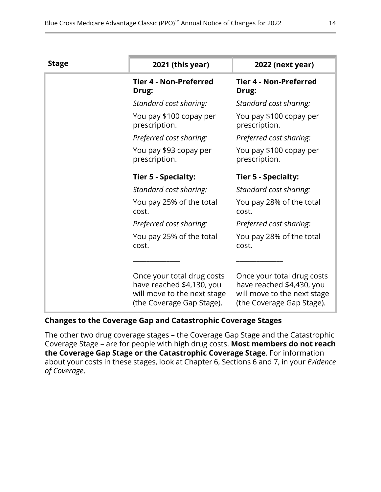| <b>Stage</b> | 2021 (this year)                                                                                                    | 2022 (next year)                                                                                                    |
|--------------|---------------------------------------------------------------------------------------------------------------------|---------------------------------------------------------------------------------------------------------------------|
|              | <b>Tier 4 - Non-Preferred</b><br>Drug:                                                                              | <b>Tier 4 - Non-Preferred</b><br>Drug:                                                                              |
|              | Standard cost sharing:                                                                                              | Standard cost sharing:                                                                                              |
|              | You pay \$100 copay per<br>prescription.                                                                            | You pay \$100 copay per<br>prescription.                                                                            |
|              | Preferred cost sharing:                                                                                             | Preferred cost sharing:                                                                                             |
|              | You pay \$93 copay per<br>prescription.                                                                             | You pay \$100 copay per<br>prescription.                                                                            |
|              | Tier 5 - Specialty:                                                                                                 | <b>Tier 5 - Specialty:</b>                                                                                          |
|              | Standard cost sharing:                                                                                              | Standard cost sharing:                                                                                              |
|              | You pay 25% of the total<br>cost.                                                                                   | You pay 28% of the total<br>cost.                                                                                   |
|              | Preferred cost sharing:                                                                                             | Preferred cost sharing:                                                                                             |
|              | You pay 25% of the total<br>cost.                                                                                   | You pay 28% of the total<br>cost.                                                                                   |
|              |                                                                                                                     |                                                                                                                     |
|              | Once your total drug costs<br>have reached \$4,130, you<br>will move to the next stage<br>(the Coverage Gap Stage). | Once your total drug costs<br>have reached \$4,430, you<br>will move to the next stage<br>(the Coverage Gap Stage). |

#### **Changes to the Coverage Gap and Catastrophic Coverage Stages**

The other two drug coverage stages – the Coverage Gap Stage and the Catastrophic Coverage Stage – are for people with high drug costs. **Most members do not reach the Coverage Gap Stage or the Catastrophic Coverage Stage**. For information about your costs in these stages, look at Chapter 6, Sections 6 and 7, in your *Evidence of Coverage*.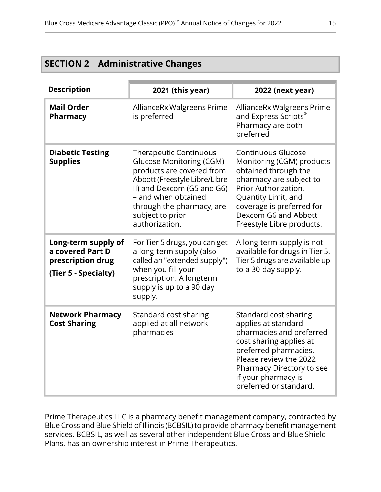<span id="page-17-0"></span>

| <b>SECTION 2</b> | <b>Administrative Changes</b> |  |
|------------------|-------------------------------|--|
|------------------|-------------------------------|--|

| <b>Description</b>                                                                   | 2021 (this year)                                                                                                                                                                                                                                       | 2022 (next year)                                                                                                                                                                                                                           |
|--------------------------------------------------------------------------------------|--------------------------------------------------------------------------------------------------------------------------------------------------------------------------------------------------------------------------------------------------------|--------------------------------------------------------------------------------------------------------------------------------------------------------------------------------------------------------------------------------------------|
| <b>Mail Order</b><br><b>Pharmacy</b>                                                 | AllianceRx Walgreens Prime<br>is preferred                                                                                                                                                                                                             | AllianceRx Walgreens Prime<br>and Express Scripts®<br>Pharmacy are both<br>preferred                                                                                                                                                       |
| <b>Diabetic Testing</b><br><b>Supplies</b>                                           | <b>Therapeutic Continuous</b><br><b>Glucose Monitoring (CGM)</b><br>products are covered from<br>Abbott (Freestyle Libre/Libre<br>II) and Dexcom (G5 and G6)<br>- and when obtained<br>through the pharmacy, are<br>subject to prior<br>authorization. | <b>Continuous Glucose</b><br>Monitoring (CGM) products<br>obtained through the<br>pharmacy are subject to<br>Prior Authorization,<br>Quantity Limit, and<br>coverage is preferred for<br>Dexcom G6 and Abbott<br>Freestyle Libre products. |
| Long-term supply of<br>a covered Part D<br>prescription drug<br>(Tier 5 - Specialty) | For Tier 5 drugs, you can get<br>a long-term supply (also<br>called an "extended supply")<br>when you fill your<br>prescription. A longterm<br>supply is up to a 90 day<br>supply.                                                                     | A long-term supply is not<br>available for drugs in Tier 5.<br>Tier 5 drugs are available up<br>to a 30-day supply.                                                                                                                        |
| <b>Network Pharmacy</b><br><b>Cost Sharing</b>                                       | Standard cost sharing<br>applied at all network<br>pharmacies                                                                                                                                                                                          | Standard cost sharing<br>applies at standard<br>pharmacies and preferred<br>cost sharing applies at<br>preferred pharmacies.<br>Please review the 2022<br>Pharmacy Directory to see<br>if your pharmacy is<br>preferred or standard.       |

Prime Therapeutics LLC is a pharmacy benefit management company, contracted by Blue Cross and Blue Shield of Illinois (BCBSIL)to provide pharmacy benefit management services. BCBSIL, as well as several other independent Blue Cross and Blue Shield Plans, has an ownership interest in Prime Therapeutics.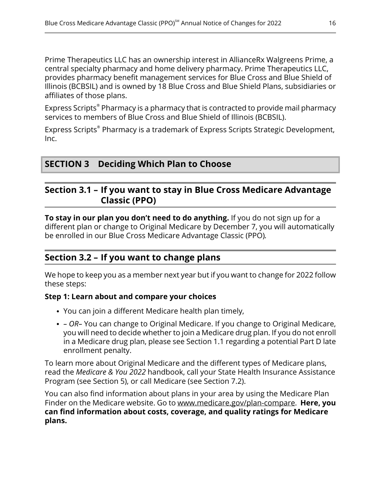Prime Therapeutics LLC has an ownership interest in AllianceRx Walgreens Prime, a central specialty pharmacy and home delivery pharmacy. Prime Therapeutics LLC, provides pharmacy benefit management services for Blue Cross and Blue Shield of Illinois (BCBSIL) and is owned by 18 Blue Cross and Blue Shield Plans, subsidiaries or affiliates of those plans.

Express Scripts® Pharmacy is a pharmacy that is contracted to provide mail pharmacy services to members of Blue Cross and Blue Shield of Illinois (BCBSIL).

<span id="page-18-1"></span>Express Scripts® Pharmacy is a trademark of Express Scripts Strategic Development, Inc.

### <span id="page-18-2"></span>**SECTION 3 Deciding Which Plan to Choose**

### **Section 3.1 – If you want to stay in Blue Cross Medicare Advantage Classic (PPO)**

**To stay in our plan you don't need to do anything.** If you do not sign up for a different plan or change to Original Medicare by December 7, you will automatically be enrolled in our Blue Cross Medicare Advantage Classic (PPO)*.*

### **Section 3.2 – If you want to change plans**

<span id="page-18-0"></span>l

We hope to keep you as a member next year but if you want to change for 2022 follow these steps:

#### **Step 1: Learn about and compare your choices**

- You can join a different Medicare health plan timely,
- *– OR–* You can change to Original Medicare. If you change to Original Medicare, you will need to decide whether to join a Medicare drug plan. If you do not enroll in a Medicare drug plan, please see Section [1.1](#page-7-0) regarding a potential Part D late enrollment penalty.

To learn more about Original Medicare and the different types of Medicare plans, read the *Medicare & You 2022* handbook, call your State Health Insurance Assistance Program (see Section [5](#page-19-1)), or call Medicare (see Section [7.2\)](#page-21-2).

You can also find information about plans in your area by using the Medicare Plan Finder on the Medicare website. Go to [www.medicare.gov/plan-compare](http://www.medicare.gov/plan-compare). **Here, you can find information about costs, coverage, and quality ratings for Medicare plans.**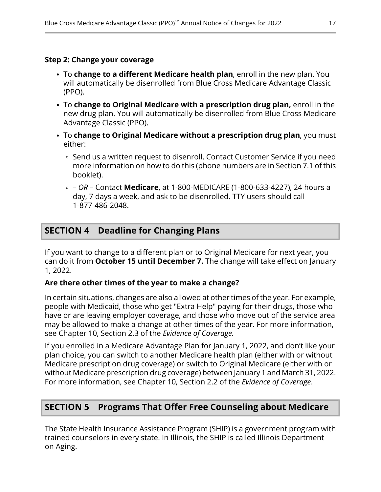#### **Step 2: Change your coverage**

- To **change to a different Medicare health plan**, enroll in the new plan. You will automatically be disenrolled from Blue Cross Medicare Advantage Classic (PPO).
- To **change to Original Medicare with a prescription drug plan,** enroll in the new drug plan. You will automatically be disenrolled from Blue Cross Medicare Advantage Classic (PPO).
- To **change to Original Medicare without a prescription drug plan**, you must either:
	- $\circ$  Send us a written request to disenroll. Contact Customer Service if you need more information on how to do this (phone numbers are in Section [7.1](#page-21-1) of this booklet).
	- *– OR –* Contact **Medicare**, at 1-800-MEDICARE (1-800-633-4227), 24 hours a day, 7 days a week, and ask to be disenrolled. TTY users should call 1-877-486-2048.

### <span id="page-19-0"></span>**SECTION 4 Deadline for Changing Plans**

If you want to change to a different plan or to Original Medicare for next year, you can do it from **October 15 until December 7.** The change will take effect on January 1, 2022.

#### **Are there other times of the year to make a change?**

In certain situations, changes are also allowed at other times of the year. For example, people with Medicaid, those who get "Extra Help" paying for their drugs, those who have or are leaving employer coverage, and those who move out of the service area may be allowed to make a change at other times of the year. For more information, see Chapter 10, Section 2.3 of the *Evidence of Coverage.*

<span id="page-19-1"></span>If you enrolled in a Medicare Advantage Plan for January 1, 2022, and don't like your plan choice, you can switch to another Medicare health plan (either with or without Medicare prescription drug coverage) or switch to Original Medicare (either with or without Medicare prescription drug coverage) between January 1 and March 31, 2022. For more information, see Chapter 10, Section 2.2 of the *Evidence of Coverage*.

### **SECTION 5 Programs That Offer Free Counseling about Medicare**

The State Health Insurance Assistance Program (SHIP) is a government program with trained counselors in every state. In Illinois, the SHIP is called Illinois Department on Aging.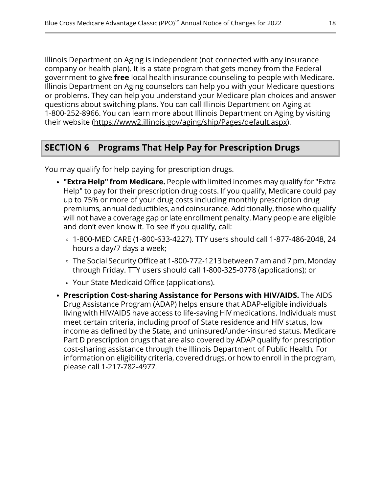Illinois Department on Aging is independent (not connected with any insurance company or health plan). It is a state program that gets money from the Federal government to give **free** local health insurance counseling to people with Medicare. Illinois Department on Aging counselors can help you with your Medicare questions or problems. They can help you understand your Medicare plan choices and answer questions about switching plans. You can call Illinois Department on Aging at 1-800-252-8966. You can learn more about Illinois Department on Aging by visiting their website [\(https://www2.illinois.gov/aging/ship/Pages/default.aspx](https://www2.illinois.gov/aging/ship/Pages/default.aspx)).

### <span id="page-20-0"></span>**SECTION 6 Programs That Help Pay for Prescription Drugs**

You may qualify for help paying for prescription drugs.

- **"Extra Help" from Medicare.** People with limited incomes may qualify for "Extra Help" to pay for their prescription drug costs. If you qualify, Medicare could pay up to 75% or more of your drug costs including monthly prescription drug premiums, annual deductibles, and coinsurance. Additionally, those who qualify will not have a coverage gap or late enrollment penalty. Many people are eligible and don't even know it. To see if you qualify, call:
	- 1-800-MEDICARE (1-800-633-4227). TTY users should call 1-877-486-2048, 24 hours a day/7 days a week;
	- The Social Security Office at 1-800-772-1213 between 7 am and 7 pm, Monday through Friday. TTY users should call 1-800-325-0778 (applications); or
	- Your State Medicaid Office (applications).
- **Prescription Cost-sharing Assistance for Persons with HIV/AIDS.** The AIDS Drug Assistance Program (ADAP) helps ensure that ADAP-eligible individuals living with HIV/AIDS have access to life-saving HIV medications. Individuals must meet certain criteria, including proof of State residence and HIV status, low income as defined by the State, and uninsured/under-insured status. Medicare Part D prescription drugs that are also covered by ADAP qualify for prescription cost-sharing assistance through the Illinois Department of Public Health*.* For information on eligibility criteria, covered drugs, or how to enroll in the program, please call 1-217-782-4977*.*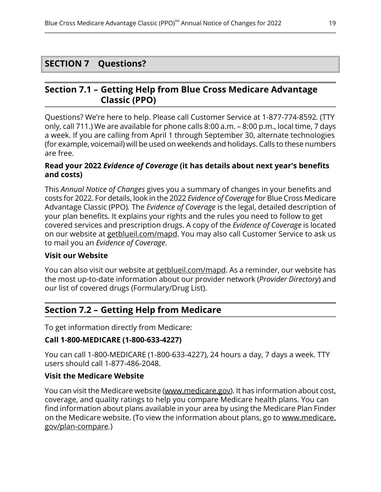#### <span id="page-21-0"></span>**SECTION 7 Questions?**

### <span id="page-21-1"></span>**Section 7.1 – Getting Help from Blue Cross Medicare Advantage Classic (PPO)**

Questions? We're here to help. Please call Customer Service at 1-877-774-8592*.* (TTY only, call 711.) We are available for phone calls 8:00 a.m. – 8:00 p.m., local time, 7 days a week. If you are calling from April 1 through September 30, alternate technologies (for example, voicemail) will be used on weekends and holidays. Calls to these numbers are free.

#### **Read your 2022** *Evidence of Coverage* **(it has details about next year's benefits and costs)**

This *Annual Notice of Changes* gives you a summary of changes in your benefits and costs for 2022. For details, look in the 2022 *Evidence of Coverage* for Blue Cross Medicare Advantage Classic (PPO)*.* The *Evidence of Coverage* is the legal, detailed description of your plan benefits. It explains your rights and the rules you need to follow to get covered services and prescription drugs. A copy of the *Evidence of Coverage* is located on our website at [getblueil.com/mapd.](https://www.bcbsil.com/medicare/blue-cross-medicare-options/mapd) You may also call Customer Service to ask us to mail you an *Evidence of Coverage*.

#### **Visit our Website**

l

<span id="page-21-2"></span>You can also visit our website at [getblueil.com/mapd.](https://www.bcbsil.com/medicare/blue-cross-medicare-options/mapd) As a reminder, our website has the most up-to-date information about our provider network (*Provider Directory*) and our list of covered drugs (Formulary/Drug List).

### **Section 7.2 – Getting Help from Medicare**

To get information directly from Medicare:

#### **Call 1-800-MEDICARE (1-800-633-4227)**

You can call 1-800-MEDICARE (1-800-633-4227), 24 hours a day, 7 days a week. TTY users should call 1-877-486-2048.

#### **Visit the Medicare Website**

You can visit the Medicare website ([www.medicare.gov](http://www.medicare.gov/)). It has information about cost, coverage, and quality ratings to help you compare Medicare health plans. You can find information about plans available in your area by using the Medicare Plan Finder on the Medicare website. (To view the information about plans, go to [www.medicare.](http://www.medicare.gov/plan-compare) [gov/plan-compare](http://www.medicare.gov/plan-compare).)